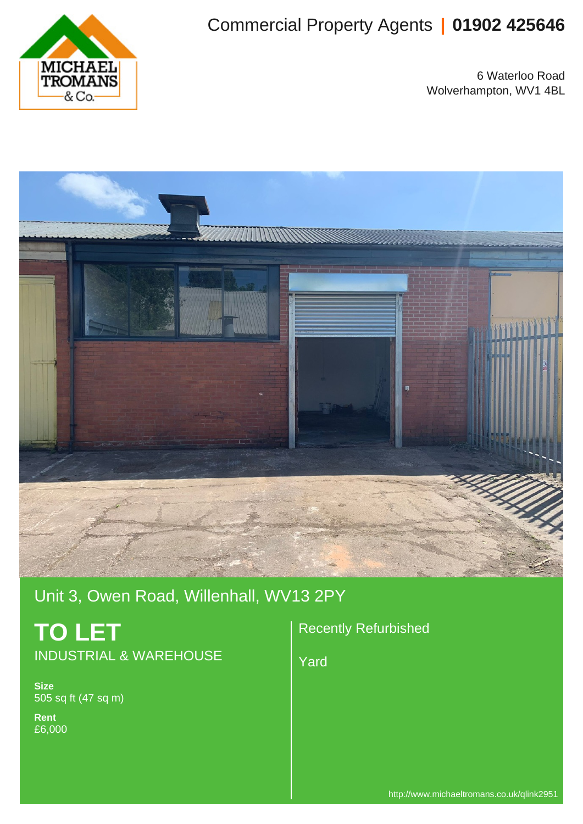

# Commercial Property Agents **| 01902 425646**

6 Waterloo Road Wolverhampton, WV1 4BL



Unit 3, Owen Road, Willenhall, WV13 2PY

# **TO LET** INDUSTRIAL & WAREHOUSE

**Size** 505 sq ft (47 sq m)

**Rent** £6,000 Recently Refurbished

Yard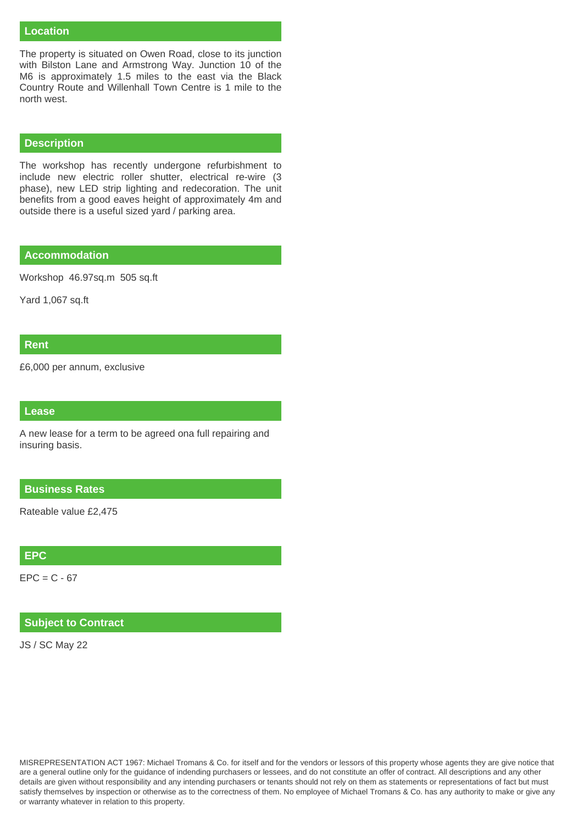#### **Location**

The property is situated on Owen Road, close to its junction with Bilston Lane and Armstrong Way. Junction 10 of the M6 is approximately 1.5 miles to the east via the Black Country Route and Willenhall Town Centre is 1 mile to the north west.

#### **Description**

The workshop has recently undergone refurbishment to include new electric roller shutter, electrical re-wire (3 phase), new LED strip lighting and redecoration. The unit benefits from a good eaves height of approximately 4m and outside there is a useful sized yard / parking area.

#### **Accommodation**

Workshop 46.97sq.m 505 sq.ft

Yard 1,067 sq.ft

### **Rent**

£6,000 per annum, exclusive

#### **Lease**

A new lease for a term to be agreed ona full repairing and insuring basis.

#### **Business Rates**

Rateable value £2,475

### **EPC**

 $EPC = C - 67$ 

## **Subject to Contract**

JS / SC May 22

MISREPRESENTATION ACT 1967: Michael Tromans & Co. for itself and for the vendors or lessors of this property whose agents they are give notice that are a general outline only for the guidance of indending purchasers or lessees, and do not constitute an offer of contract. All descriptions and any other details are given without responsibility and any intending purchasers or tenants should not rely on them as statements or representations of fact but must satisfy themselves by inspection or otherwise as to the correctness of them. No employee of Michael Tromans & Co. has any authority to make or give any or warranty whatever in relation to this property.